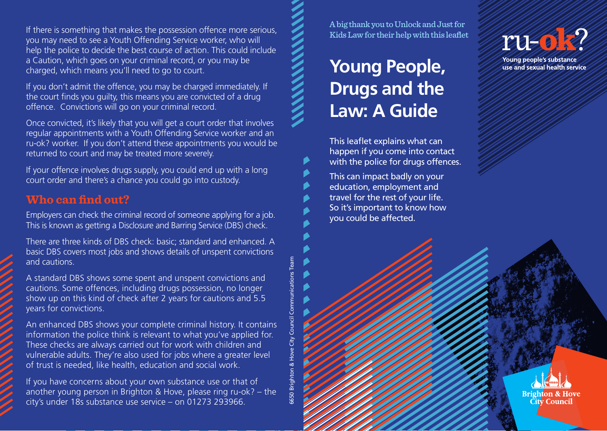If there is something that makes the possession offence more serious, you may need to see a Youth Offending Service worker, who will help the police to decide the best course of action. This could include a Caution, which goes on your criminal record, or you may be charged, which means you'll need to go to court.

If you don't admit the offence, you may be charged immediately. If the court finds you guilty, this means you are convicted of a drug offence. Convictions will go on your criminal record.

Once convicted, it's likely that you will get a court order that involves regular appointments with a Youth Offending Service worker and an ru-ok? worker. If you don't attend these appointments you would be returned to court and may be treated more severely.

If your offence involves drugs supply, you could end up with a long court order and there's a chance you could go into custody.

#### **Who can find out?**

Employers can check the criminal record of someone applying for a job. This is known as getting a Disclosure and Barring Service (DBS) check.

There are three kinds of DBS check: basic; standard and enhanced. A basic DBS covers most jobs and shows details of unspent convictions and cautions.

A standard DBS shows some spent and unspent convictions and cautions. Some offences, including drugs possession, no longer show up on this kind of check after 2 years for cautions and 5.5 years for convictions.

An enhanced DBS shows your complete criminal history. It contains information the police think is relevant to what you've applied for. These checks are always carried out for work with children and vulnerable adults. They're also used for jobs where a greater level of trust is needed, like health, education and social work.

If you have concerns about your own substance use or that of another young person in Brighton & Hove, please ring ru-ok? – the city's under 18s substance use service – on 01273 293966.

6650 Brighton & Hove City Council Communications Team Communications Council Hove City  $\overline{\infty}$ 650 Brighton

A big thank you to Unlock and Just for Kids Law for their help with this leaflet

# **Young People, Drugs and the Law: A Guide**

This leaflet explains what can happen if you come into contact with the police for drugs offences.

This can impact badly on your education, employment and travel for the rest of your life. So it's important to know how you could be affected.

**PU-6132** 

**Young people's substance** use and sexual health service